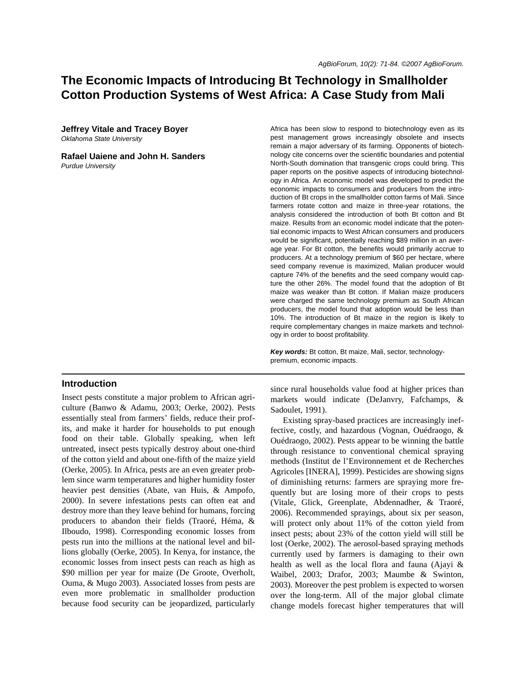Africa has been slow to respond to biotechnology even as its pest management grows increasingly obsolete and insects remain a major adversary of its farming. Opponents of biotechnology cite concerns over the scientific boundaries and potential North-South domination that transgenic crops could bring. This paper reports on the positive aspects of introducing biotechnology in Africa. An economic model was developed to predict the economic impacts to consumers and producers from the introduction of Bt crops in the smallholder cotton farms of Mali. Since farmers rotate cotton and maize in three-year rotations, the analysis considered the introduction of both Bt cotton and Bt maize. Results from an economic model indicate that the potential economic impacts to West African consumers and producers would be significant, potentially reaching \$89 million in an average year. For Bt cotton, the benefits would primarily accrue to producers. At a technology premium of \$60 per hectare, where seed company revenue is maximized, Malian producer would capture 74% of the benefits and the seed company would capture the other 26%. The model found that the adoption of Bt maize was weaker than Bt cotton. If Malian maize producers were charged the same technology premium as South African producers, the model found that adoption would be less than

# **The Economic Impacts of Introducing Bt Technology in Smallholder Cotton Production Systems of West Africa: A Case Study from Mali**

**Jeffrey Vitale and Tracey Boyer** *Oklahoma State University*

**Rafael Uaiene and John H. Sanders**

*Purdue University*

10%. The introduction of Bt maize in the region is likely to require complementary changes in maize markets and technology in order to boost profitability. *Key words:* Bt cotton, Bt maize, Mali, sector, technologypremium, economic impacts.

## **Introduction**

Insect pests constitute a major problem to African agriculture (Banwo & Adamu, 2003; Oerke, 2002). Pests essentially steal from farmers' fields, reduce their profits, and make it harder for households to put enough food on their table. Globally speaking, when left untreated, insect pests typically destroy about one-third of the cotton yield and about one-fifth of the maize yield (Oerke, 2005). In Africa, pests are an even greater problem since warm temperatures and higher humidity foster heavier pest densities (Abate, van Huis, & Ampofo, 2000). In severe infestations pests can often eat and destroy more than they leave behind for humans, forcing producers to abandon their fields (Traoré, Héma, & Ilboudo, 1998). Corresponding economic losses from pests run into the millions at the national level and billions globally (Oerke, 2005). In Kenya, for instance, the economic losses from insect pests can reach as high as \$90 million per year for maize (De Groote, Overholt, Ouma, & Mugo 2003). Associated losses from pests are even more problematic in smallholder production because food security can be jeopardized, particularly

since rural households value food at higher prices than markets would indicate (DeJanvry, Fafchamps, & Sadoulet, 1991).

Existing spray-based practices are increasingly ineffective, costly, and hazardous (Vognan, Ouédraogo, & Ouédraogo, 2002). Pests appear to be winning the battle through resistance to conventional chemical spraying methods (Institut de l'Environnement et de Recherches Agricoles [INERA], 1999). Pesticides are showing signs of diminishing returns: farmers are spraying more frequently but are losing more of their crops to pests (Vitale, Glick, Greenplate, Abdennadher, & Traoré, 2006). Recommended sprayings, about six per season, will protect only about 11% of the cotton yield from insect pests; about 23% of the cotton yield will still be lost (Oerke, 2002). The aerosol-based spraying methods currently used by farmers is damaging to their own health as well as the local flora and fauna (Ajayi & Waibel, 2003; Drafor, 2003; Maumbe & Swinton, 2003). Moreover the pest problem is expected to worsen over the long-term. All of the major global climate change models forecast higher temperatures that will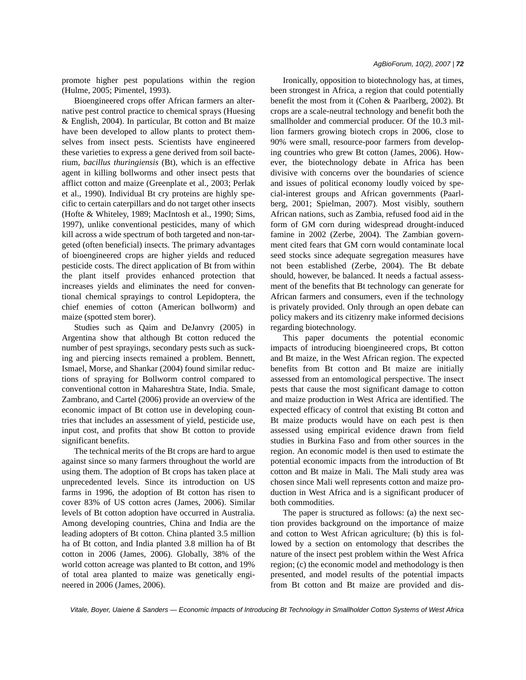promote higher pest populations within the region (Hulme, 2005; Pimentel, 1993).

Bioengineered crops offer African farmers an alternative pest control practice to chemical sprays (Huesing & English, 2004). In particular, Bt cotton and Bt maize have been developed to allow plants to protect themselves from insect pests. Scientists have engineered these varieties to express a gene derived from soil bacterium, *bacillus thuringiensis* (Bt), which is an effective agent in killing bollworms and other insect pests that afflict cotton and maize (Greenplate et al., 2003; Perlak et al., 1990). Individual Bt cry proteins are highly specific to certain caterpillars and do not target other insects (Hofte & Whiteley, 1989; MacIntosh et al., 1990; Sims, 1997), unlike conventional pesticides, many of which kill across a wide spectrum of both targeted and non-targeted (often beneficial) insects. The primary advantages of bioengineered crops are higher yields and reduced pesticide costs. The direct application of Bt from within the plant itself provides enhanced protection that increases yields and eliminates the need for conventional chemical sprayings to control Lepidoptera, the chief enemies of cotton (American bollworm) and maize (spotted stem borer).

Studies such as Qaim and DeJanvry (2005) in Argentina show that although Bt cotton reduced the number of pest sprayings, secondary pests such as sucking and piercing insects remained a problem. Bennett, Ismael, Morse, and Shankar (2004) found similar reductions of spraying for Bollworm control compared to conventional cotton in Mahareshtra State, India. Smale, Zambrano, and Cartel (2006) provide an overview of the economic impact of Bt cotton use in developing countries that includes an assessment of yield, pesticide use, input cost, and profits that show Bt cotton to provide significant benefits.

The technical merits of the Bt crops are hard to argue against since so many farmers throughout the world are using them. The adoption of Bt crops has taken place at unprecedented levels. Since its introduction on US farms in 1996, the adoption of Bt cotton has risen to cover 83% of US cotton acres (James, 2006). Similar levels of Bt cotton adoption have occurred in Australia. Among developing countries, China and India are the leading adopters of Bt cotton. China planted 3.5 million ha of Bt cotton, and India planted 3.8 million ha of Bt cotton in 2006 (James, 2006). Globally, 38% of the world cotton acreage was planted to Bt cotton, and 19% of total area planted to maize was genetically engineered in 2006 (James, 2006).

Ironically, opposition to biotechnology has, at times, been strongest in Africa, a region that could potentially benefit the most from it (Cohen & Paarlberg, 2002). Bt crops are a scale-neutral technology and benefit both the smallholder and commercial producer. Of the 10.3 million farmers growing biotech crops in 2006, close to 90% were small, resource-poor farmers from developing countries who grew Bt cotton (James, 2006). However, the biotechnology debate in Africa has been divisive with concerns over the boundaries of science and issues of political economy loudly voiced by special-interest groups and African governments (Paarlberg, 2001; Spielman, 2007). Most visibly, southern African nations, such as Zambia, refused food aid in the form of GM corn during widespread drought-induced famine in 2002 (Zerbe, 2004). The Zambian government cited fears that GM corn would contaminate local seed stocks since adequate segregation measures have not been established (Zerbe, 2004). The Bt debate should, however, be balanced. It needs a factual assessment of the benefits that Bt technology can generate for African farmers and consumers, even if the technology is privately provided. Only through an open debate can policy makers and its citizenry make informed decisions regarding biotechnology.

This paper documents the potential economic impacts of introducing bioengineered crops, Bt cotton and Bt maize, in the West African region. The expected benefits from Bt cotton and Bt maize are initially assessed from an entomological perspective. The insect pests that cause the most significant damage to cotton and maize production in West Africa are identified. The expected efficacy of control that existing Bt cotton and Bt maize products would have on each pest is then assessed using empirical evidence drawn from field studies in Burkina Faso and from other sources in the region. An economic model is then used to estimate the potential economic impacts from the introduction of Bt cotton and Bt maize in Mali. The Mali study area was chosen since Mali well represents cotton and maize production in West Africa and is a significant producer of both commodities.

The paper is structured as follows: (a) the next section provides background on the importance of maize and cotton to West African agriculture; (b) this is followed by a section on entomology that describes the nature of the insect pest problem within the West Africa region; (c) the economic model and methodology is then presented, and model results of the potential impacts from Bt cotton and Bt maize are provided and dis-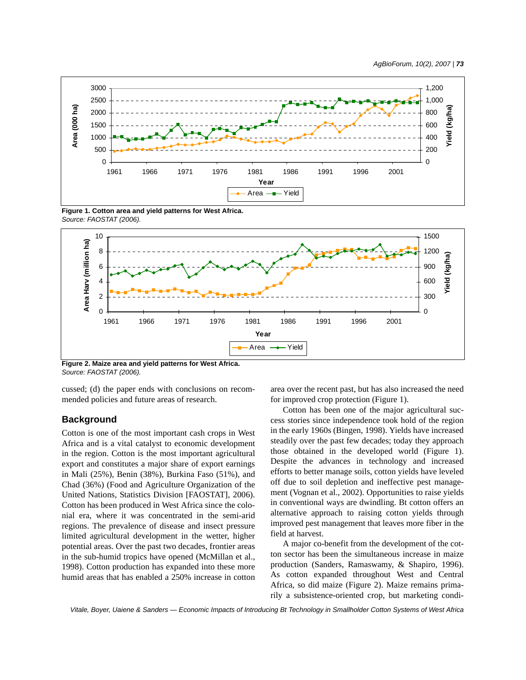

**Figure 1. Cotton area and yield patterns for West Africa.**  *Source: FAOSTAT (2006).*



**Figure 2. Maize area and yield patterns for West Africa.** *Source: FAOSTAT (2006).*

cussed; (d) the paper ends with conclusions on recommended policies and future areas of research.

## **Background**

Cotton is one of the most important cash crops in West Africa and is a vital catalyst to economic development in the region. Cotton is the most important agricultural export and constitutes a major share of export earnings in Mali (25%), Benin (38%), Burkina Faso (51%), and Chad (36%) (Food and Agriculture Organization of the United Nations, Statistics Division [FAOSTAT], 2006). Cotton has been produced in West Africa since the colonial era, where it was concentrated in the semi-arid regions. The prevalence of disease and insect pressure limited agricultural development in the wetter, higher potential areas. Over the past two decades, frontier areas in the sub-humid tropics have opened (McMillan et al., 1998). Cotton production has expanded into these more humid areas that has enabled a 250% increase in cotton

area over the recent past, but has also increased the need for improved crop protection (Figure 1).

Cotton has been one of the major agricultural success stories since independence took hold of the region in the early 1960s (Bingen, 1998). Yields have increased steadily over the past few decades; today they approach those obtained in the developed world (Figure 1). Despite the advances in technology and increased efforts to better manage soils, cotton yields have leveled off due to soil depletion and ineffective pest management (Vognan et al., 2002). Opportunities to raise yields in conventional ways are dwindling. Bt cotton offers an alternative approach to raising cotton yields through improved pest management that leaves more fiber in the field at harvest.

A major co-benefit from the development of the cotton sector has been the simultaneous increase in maize production (Sanders, Ramaswamy, & Shapiro, 1996). As cotton expanded throughout West and Central Africa, so did maize (Figure 2). Maize remains primarily a subsistence-oriented crop, but marketing condi-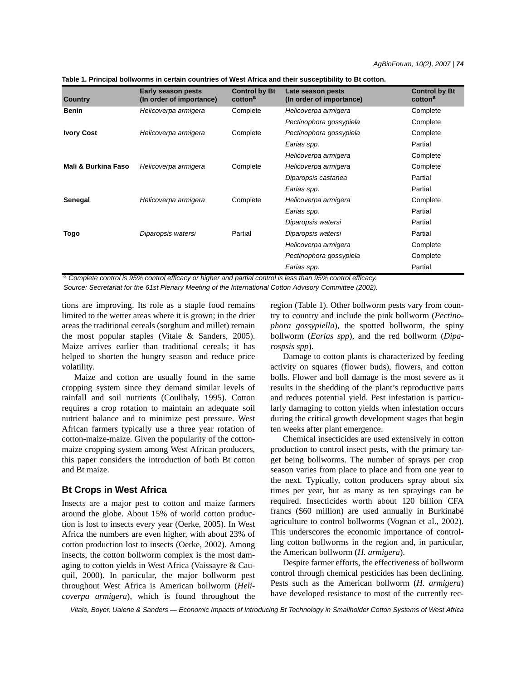| Country             | Early season pests<br>(In order of importance) | <b>Control by Bt</b><br>cotton <sup>a</sup> | Late season pests<br>(In order of importance) | <b>Control by Bt</b><br>cotton <sup>a</sup> |
|---------------------|------------------------------------------------|---------------------------------------------|-----------------------------------------------|---------------------------------------------|
| <b>Benin</b>        | Helicoverpa armigera                           | Complete                                    | Helicoverpa armigera                          | Complete                                    |
|                     |                                                |                                             | Pectinophora gossypiela                       | Complete                                    |
| <b>Ivory Cost</b>   | Helicoverpa armigera                           | Complete                                    | Pectinophora gossypiela                       | Complete                                    |
|                     |                                                |                                             | Earias spp.                                   | Partial                                     |
|                     |                                                |                                             | Helicoverpa armigera                          | Complete                                    |
| Mali & Burkina Faso | Helicoverpa armigera                           | Complete                                    | Helicoverpa armigera                          | Complete                                    |
|                     |                                                |                                             | Diparopsis castanea                           | Partial                                     |
|                     |                                                |                                             | Earias spp.                                   | Partial                                     |
| Senegal             | Helicoverpa armigera                           | Complete                                    | Helicoverpa armigera                          | Complete                                    |
|                     |                                                |                                             | Earias spp.                                   | Partial                                     |
|                     |                                                |                                             | Diparopsis watersi                            | Partial                                     |
| Togo                | Diparopsis watersi                             | Partial                                     | Diparopsis watersi                            | Partial                                     |
|                     |                                                |                                             | Helicoverpa armigera                          | Complete                                    |
|                     |                                                |                                             | Pectinophora gossypiela                       | Complete                                    |
|                     |                                                |                                             | Earias spp.                                   | Partial                                     |

**Table 1. Principal bollworms in certain countries of West Africa and their susceptibility to Bt cotton.**

*a Complete control is 95% control efficacy or higher and partial control is less than 95% control efficacy.*

*Source: Secretariat for the 61st Plenary Meeting of the International Cotton Advisory Committee (2002).*

tions are improving. Its role as a staple food remains limited to the wetter areas where it is grown; in the drier areas the traditional cereals (sorghum and millet) remain the most popular staples (Vitale & Sanders, 2005). Maize arrives earlier than traditional cereals; it has helped to shorten the hungry season and reduce price volatility.

Maize and cotton are usually found in the same cropping system since they demand similar levels of rainfall and soil nutrients (Coulibaly, 1995). Cotton requires a crop rotation to maintain an adequate soil nutrient balance and to minimize pest pressure. West African farmers typically use a three year rotation of cotton-maize-maize. Given the popularity of the cottonmaize cropping system among West African producers, this paper considers the introduction of both Bt cotton and Bt maize.

## **Bt Crops in West Africa**

Insects are a major pest to cotton and maize farmers around the globe. About 15% of world cotton production is lost to insects every year (Oerke, 2005). In West Africa the numbers are even higher, with about 23% of cotton production lost to insects (Oerke, 2002). Among insects, the cotton bollworm complex is the most damaging to cotton yields in West Africa (Vaissayre & Cauquil, 2000). In particular, the major bollworm pest throughout West Africa is American bollworm (*Helicoverpa armigera*), which is found throughout the region (Table 1). Other bollworm pests vary from country to country and include the pink bollworm (*Pectinophora gossypiella*), the spotted bollworm, the spiny bollworm (*Earias spp*), and the red bollworm (*Diparospsis spp*).

Damage to cotton plants is characterized by feeding activity on squares (flower buds), flowers, and cotton bolls. Flower and boll damage is the most severe as it results in the shedding of the plant's reproductive parts and reduces potential yield. Pest infestation is particularly damaging to cotton yields when infestation occurs during the critical growth development stages that begin ten weeks after plant emergence.

Chemical insecticides are used extensively in cotton production to control insect pests, with the primary target being bollworms. The number of sprays per crop season varies from place to place and from one year to the next. Typically, cotton producers spray about six times per year, but as many as ten sprayings can be required. Insecticides worth about 120 billion CFA francs (\$60 million) are used annually in Burkinabé agriculture to control bollworms (Vognan et al., 2002). This underscores the economic importance of controlling cotton bollworms in the region and, in particular, the American bollworm (*H. armigera*).

Despite farmer efforts, the effectiveness of bollworm control through chemical pesticides has been declining. Pests such as the American bollworm (*H. armigera*) have developed resistance to most of the currently rec-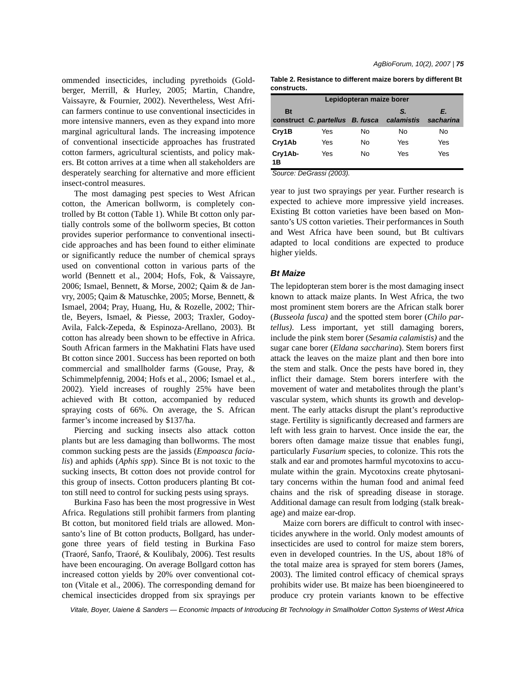ommended insecticides, including pyrethoids (Goldberger, Merrill, & Hurley, 2005; Martin, Chandre, Vaissayre, & Fournier, 2002). Nevertheless, West African farmers continue to use conventional insecticides in more intensive manners, even as they expand into more marginal agricultural lands. The increasing impotence of conventional insecticide approaches has frustrated cotton farmers, agricultural scientists, and policy makers. Bt cotton arrives at a time when all stakeholders are desperately searching for alternative and more efficient insect-control measures.

The most damaging pest species to West African cotton, the American bollworm, is completely controlled by Bt cotton (Table 1). While Bt cotton only partially controls some of the bollworm species, Bt cotton provides superior performance to conventional insecticide approaches and has been found to either eliminate or significantly reduce the number of chemical sprays used on conventional cotton in various parts of the world (Bennett et al., 2004; Hofs, Fok, & Vaissayre, 2006; Ismael, Bennett, & Morse, 2002; Qaim & de Janvry, 2005; Qaim & Matuschke, 2005; Morse, Bennett, & Ismael, 2004; Pray, Huang, Hu, & Rozelle, 2002; Thirtle, Beyers, Ismael, & Piesse, 2003; Traxler, Godoy-Avila, Falck-Zepeda, & Espinoza-Arellano, 2003). Bt cotton has already been shown to be effective in Africa. South African farmers in the Makhatini Flats have used Bt cotton since 2001. Success has been reported on both commercial and smallholder farms (Gouse, Pray, & Schimmelpfennig, 2004; Hofs et al., 2006; Ismael et al., 2002). Yield increases of roughly 25% have been achieved with Bt cotton, accompanied by reduced spraying costs of 66%. On average, the S. African farmer's income increased by \$137/ha.

Piercing and sucking insects also attack cotton plants but are less damaging than bollworms. The most common sucking pests are the jassids (*Empoasca facialis*) and aphids (*Aphis spp*). Since Bt is not toxic to the sucking insects, Bt cotton does not provide control for this group of insects. Cotton producers planting Bt cotton still need to control for sucking pests using sprays.

Burkina Faso has been the most progressive in West Africa. Regulations still prohibit farmers from planting Bt cotton, but monitored field trials are allowed. Monsanto's line of Bt cotton products, Bollgard, has undergone three years of field testing in Burkina Faso (Traoré, Sanfo, Traoré, & Koulibaly, 2006). Test results have been encouraging. On average Bollgard cotton has increased cotton yields by 20% over conventional cotton (Vitale et al., 2006). The corresponding demand for chemical insecticides dropped from six sprayings per

**Table 2. Resistance to different maize borers by different Bt constructs.**

| Lepidopteran maize borer |                                            |    |     |                 |  |
|--------------------------|--------------------------------------------|----|-----|-----------------|--|
| <b>Bt</b>                | construct C. partellus B. fusca calamistis |    | S.  | Е.<br>sacharina |  |
| Cry1B                    | Yes                                        | No | No  | No              |  |
| Cry1Ab                   | Yes                                        | No | Yes | Yes             |  |
| Cry1Ab-<br>1B            | Yes                                        | No | Yes | Yes             |  |
| $\sim$<br>- -            | $\overline{a}$                             |    |     |                 |  |

*Source: DeGrassi (2003).*

year to just two sprayings per year. Further research is expected to achieve more impressive yield increases. Existing Bt cotton varieties have been based on Monsanto's US cotton varieties. Their performances in South and West Africa have been sound, but Bt cultivars adapted to local conditions are expected to produce higher yields.

### *Bt Maize*

The lepidopteran stem borer is the most damaging insect known to attack maize plants. In West Africa, the two most prominent stem borers are the African stalk borer (*Busseola fusca)* and the spotted stem borer (*Chilo partellus)*. Less important, yet still damaging borers, include the pink stem borer (*Sesamia calamistis)* and the sugar cane borer (*Eldana saccharina*). Stem borers first attack the leaves on the maize plant and then bore into the stem and stalk. Once the pests have bored in, they inflict their damage. Stem borers interfere with the movement of water and metabolites through the plant's vascular system, which shunts its growth and development. The early attacks disrupt the plant's reproductive stage. Fertility is significantly decreased and farmers are left with less grain to harvest. Once inside the ear, the borers often damage maize tissue that enables fungi, particularly *Fusarium* species, to colonize. This rots the stalk and ear and promotes harmful mycotoxins to accumulate within the grain. Mycotoxins create phytosanitary concerns within the human food and animal feed chains and the risk of spreading disease in storage. Additional damage can result from lodging (stalk breakage) and maize ear-drop.

Maize corn borers are difficult to control with insecticides anywhere in the world. Only modest amounts of insecticides are used to control for maize stem borers, even in developed countries. In the US, about 18% of the total maize area is sprayed for stem borers (James, 2003). The limited control efficacy of chemical sprays prohibits wider use. Bt maize has been bioengineered to produce cry protein variants known to be effective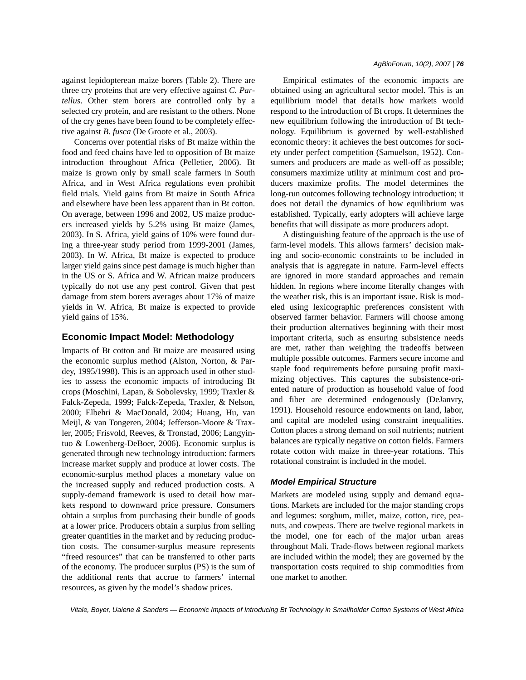against lepidopterean maize borers (Table 2). There are three cry proteins that are very effective against *C. Partellus*. Other stem borers are controlled only by a selected cry protein, and are resistant to the others. None of the cry genes have been found to be completely effective against *B. fusca* (De Groote et al., 2003).

Concerns over potential risks of Bt maize within the food and feed chains have led to opposition of Bt maize introduction throughout Africa (Pelletier, 2006). Bt maize is grown only by small scale farmers in South Africa, and in West Africa regulations even prohibit field trials. Yield gains from Bt maize in South Africa and elsewhere have been less apparent than in Bt cotton. On average, between 1996 and 2002, US maize producers increased yields by 5.2% using Bt maize (James, 2003). In S. Africa, yield gains of 10% were found during a three-year study period from 1999-2001 (James, 2003). In W. Africa, Bt maize is expected to produce larger yield gains since pest damage is much higher than in the US or S. Africa and W. African maize producers typically do not use any pest control. Given that pest damage from stem borers averages about 17% of maize yields in W. Africa, Bt maize is expected to provide yield gains of 15%.

## **Economic Impact Model: Methodology**

Impacts of Bt cotton and Bt maize are measured using the economic surplus method (Alston, Norton, & Pardey, 1995/1998). This is an approach used in other studies to assess the economic impacts of introducing Bt crops (Moschini, Lapan, & Sobolevsky, 1999; Traxler & Falck-Zepeda, 1999; Falck-Zepeda, Traxler, & Nelson, 2000; Elbehri & MacDonald, 2004; Huang, Hu, van Meijl, & van Tongeren, 2004; Jefferson-Moore & Traxler, 2005; Frisvold, Reeves, & Tronstad, 2006; Langyintuo & Lowenberg-DeBoer, 2006). Economic surplus is generated through new technology introduction: farmers increase market supply and produce at lower costs. The economic-surplus method places a monetary value on the increased supply and reduced production costs. A supply-demand framework is used to detail how markets respond to downward price pressure. Consumers obtain a surplus from purchasing their bundle of goods at a lower price. Producers obtain a surplus from selling greater quantities in the market and by reducing production costs. The consumer-surplus measure represents "freed resources" that can be transferred to other parts of the economy. The producer surplus (PS) is the sum of the additional rents that accrue to farmers' internal resources, as given by the model's shadow prices.

Empirical estimates of the economic impacts are obtained using an agricultural sector model. This is an equilibrium model that details how markets would respond to the introduction of Bt crops. It determines the new equilibrium following the introduction of Bt technology. Equilibrium is governed by well-established economic theory: it achieves the best outcomes for society under perfect competition (Samuelson, 1952). Consumers and producers are made as well-off as possible; consumers maximize utility at minimum cost and producers maximize profits. The model determines the long-run outcomes following technology introduction; it does not detail the dynamics of how equilibrium was established. Typically, early adopters will achieve large benefits that will dissipate as more producers adopt.

A distinguishing feature of the approach is the use of farm-level models. This allows farmers' decision making and socio-economic constraints to be included in analysis that is aggregate in nature. Farm-level effects are ignored in more standard approaches and remain hidden. In regions where income literally changes with the weather risk, this is an important issue. Risk is modeled using lexicographic preferences consistent with observed farmer behavior. Farmers will choose among their production alternatives beginning with their most important criteria, such as ensuring subsistence needs are met, rather than weighing the tradeoffs between multiple possible outcomes. Farmers secure income and staple food requirements before pursuing profit maximizing objectives. This captures the subsistence-oriented nature of production as household value of food and fiber are determined endogenously (DeJanvry, 1991). Household resource endowments on land, labor, and capital are modeled using constraint inequalities. Cotton places a strong demand on soil nutrients; nutrient balances are typically negative on cotton fields. Farmers rotate cotton with maize in three-year rotations. This rotational constraint is included in the model.

## *Model Empirical Structure*

Markets are modeled using supply and demand equations. Markets are included for the major standing crops and legumes: sorghum, millet, maize, cotton, rice, peanuts, and cowpeas. There are twelve regional markets in the model, one for each of the major urban areas throughout Mali. Trade-flows between regional markets are included within the model; they are governed by the transportation costs required to ship commodities from one market to another.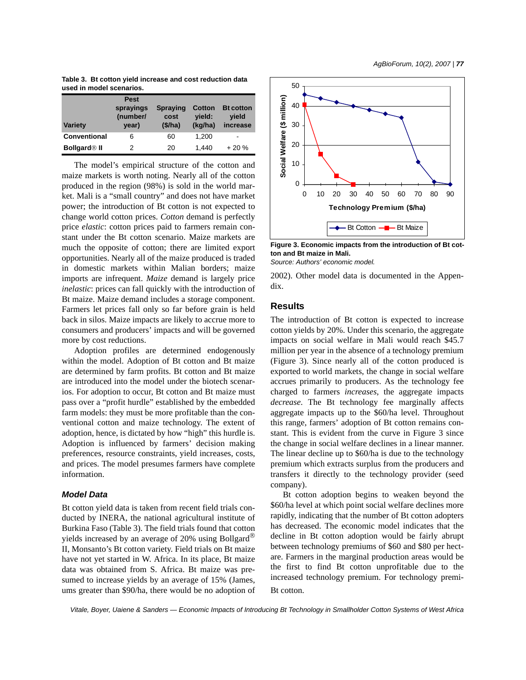| Table 3. Bt cotton yield increase and cost reduction data |  |  |
|-----------------------------------------------------------|--|--|
| used in model scenarios.                                  |  |  |

| <b>Variety</b>                 | <b>Pest</b><br>sprayings<br>(number/<br>year) | <b>Spraying</b><br>cost<br>(\$/ha) | <b>Cotton</b><br>yield:<br>(kg/ha) | <b>Bt cotton</b><br>yield<br>increase |
|--------------------------------|-----------------------------------------------|------------------------------------|------------------------------------|---------------------------------------|
| <b>Conventional</b>            | 6                                             | 60                                 | 1,200                              | $\overline{\phantom{a}}$              |
| <b>Bollgard<sup>®</sup></b> II | 2                                             | 20                                 | 1.440                              | $+20%$                                |

The model's empirical structure of the cotton and maize markets is worth noting. Nearly all of the cotton produced in the region (98%) is sold in the world market. Mali is a "small country" and does not have market power; the introduction of Bt cotton is not expected to change world cotton prices. *Cotton* demand is perfectly price *elastic*: cotton prices paid to farmers remain constant under the Bt cotton scenario. Maize markets are much the opposite of cotton; there are limited export opportunities. Nearly all of the maize produced is traded in domestic markets within Malian borders; maize imports are infrequent. *Maize* demand is largely price *inelastic*: prices can fall quickly with the introduction of Bt maize. Maize demand includes a storage component. Farmers let prices fall only so far before grain is held back in silos. Maize impacts are likely to accrue more to consumers and producers' impacts and will be governed more by cost reductions.

Adoption profiles are determined endogenously within the model. Adoption of Bt cotton and Bt maize are determined by farm profits. Bt cotton and Bt maize are introduced into the model under the biotech scenarios. For adoption to occur, Bt cotton and Bt maize must pass over a "profit hurdle" established by the embedded farm models: they must be more profitable than the conventional cotton and maize technology. The extent of adoption, hence, is dictated by how "high" this hurdle is. Adoption is influenced by farmers' decision making preferences, resource constraints, yield increases, costs, and prices. The model presumes farmers have complete information.

## *Model Data*

Bt cotton yield data is taken from recent field trials conducted by INERA, the national agricultural institute of Burkina Faso (Table 3). The field trials found that cotton yields increased by an average of 20% using Bollgard® II, Monsanto's Bt cotton variety. Field trials on Bt maize have not yet started in W. Africa. In its place, Bt maize data was obtained from S. Africa. Bt maize was presumed to increase yields by an average of 15% (James, ums greater than \$90/ha, there would be no adoption of Bt cotton.



**Figure 3. Economic impacts from the introduction of Bt cotton and Bt maize in Mali.**

*Source: Authors' economic model.*

2002). Other model data is documented in the Appendix.

## **Results**

The introduction of Bt cotton is expected to increase cotton yields by 20%. Under this scenario, the aggregate impacts on social welfare in Mali would reach \$45.7 million per year in the absence of a technology premium (Figure 3). Since nearly all of the cotton produced is exported to world markets, the change in social welfare accrues primarily to producers. As the technology fee charged to farmers *increases*, the aggregate impacts *decrease*. The Bt technology fee marginally affects aggregate impacts up to the \$60/ha level. Throughout this range, farmers' adoption of Bt cotton remains constant. This is evident from the curve in Figure 3 since the change in social welfare declines in a linear manner. The linear decline up to \$60/ha is due to the technology premium which extracts surplus from the producers and transfers it directly to the technology provider (seed company).

Bt cotton adoption begins to weaken beyond the \$60/ha level at which point social welfare declines more rapidly, indicating that the number of Bt cotton adopters has decreased. The economic model indicates that the decline in Bt cotton adoption would be fairly abrupt between technology premiums of \$60 and \$80 per hectare. Farmers in the marginal production areas would be the first to find Bt cotton unprofitable due to the increased technology premium. For technology premi-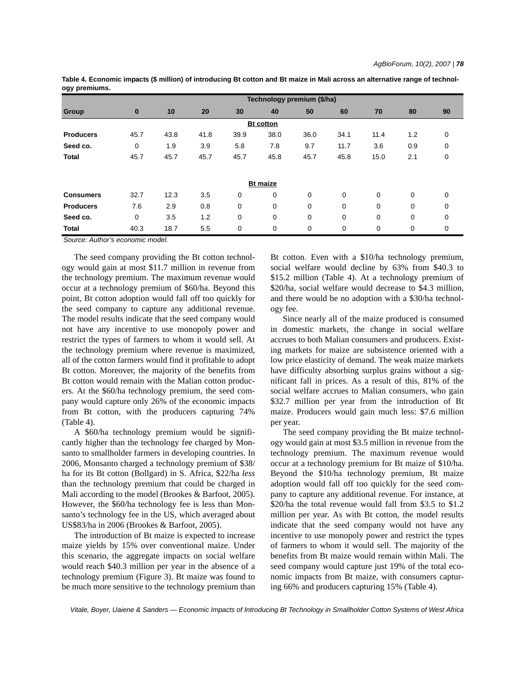|                  |          | Technology premium (\$/ha) |      |      |                  |      |      |          |             |             |
|------------------|----------|----------------------------|------|------|------------------|------|------|----------|-------------|-------------|
| <b>Group</b>     | $\bf{0}$ | 10                         | 20   | 30   | 40               | 50   | 60   | 70       | 80          | 90          |
|                  |          |                            |      |      | <b>Bt</b> cotton |      |      |          |             |             |
| <b>Producers</b> | 45.7     | 43.8                       | 41.8 | 39.9 | 38.0             | 36.0 | 34.1 | 11.4     | 1.2         | $\mathbf 0$ |
| Seed co.         | 0        | 1.9                        | 3.9  | 5.8  | 7.8              | 9.7  | 11.7 | 3.6      | 0.9         | 0           |
| <b>Total</b>     | 45.7     | 45.7                       | 45.7 | 45.7 | 45.8             | 45.7 | 45.8 | 15.0     | 2.1         | $\mathbf 0$ |
|                  |          |                            |      |      |                  |      |      |          |             |             |
|                  |          |                            |      |      | <b>Bt maize</b>  |      |      |          |             |             |
| <b>Consumers</b> | 32.7     | 12.3                       | 3.5  | 0    | 0                | 0    | 0    | $\Omega$ | 0           | $\mathbf 0$ |
| <b>Producers</b> | 7.6      | 2.9                        | 0.8  | 0    | 0                | 0    | 0    | $\Omega$ | 0           | $\mathbf 0$ |
| Seed co.         | 0        | 3.5                        | 1.2  | 0    | 0                | 0    | 0    | 0        | $\mathbf 0$ | $\mathbf 0$ |
| <b>Total</b>     | 40.3     | 18.7                       | 5.5  | 0    | 0                | 0    | 0    | 0        | 0           | 0           |

**Table 4. Economic impacts (\$ million) of introducing Bt cotton and Bt maize in Mali across an alternative range of technology premiums.** 

*Source: Author's economic model.*

The seed company providing the Bt cotton technology would gain at most \$11.7 million in revenue from the technology premium. The maximum revenue would occur at a technology premium of \$60/ha. Beyond this point, Bt cotton adoption would fall off too quickly for the seed company to capture any additional revenue. The model results indicate that the seed company would not have any incentive to use monopoly power and restrict the types of farmers to whom it would sell. At the technology premium where revenue is maximized, all of the cotton farmers would find it profitable to adopt Bt cotton. Moreover, the majority of the benefits from Bt cotton would remain with the Malian cotton producers. At the \$60/ha technology premium, the seed company would capture only 26% of the economic impacts from Bt cotton, with the producers capturing 74% (Table 4).

A \$60/ha technology premium would be significantly higher than the technology fee charged by Monsanto to smallholder farmers in developing countries. In 2006, Monsanto charged a technology premium of \$38/ ha for its Bt cotton (Bollgard) in S. Africa, \$22/ha *less* than the technology premium that could be charged in Mali according to the model (Brookes & Barfoot, 2005). However, the \$60/ha technology fee is less than Monsanto's technology fee in the US, which averaged about US\$83/ha in 2006 (Brookes & Barfoot, 2005).

The introduction of Bt maize is expected to increase maize yields by 15% over conventional maize. Under this scenario, the aggregate impacts on social welfare would reach \$40.3 million per year in the absence of a technology premium (Figure 3). Bt maize was found to be much more sensitive to the technology premium than Bt cotton. Even with a \$10/ha technology premium, social welfare would decline by 63% from \$40.3 to \$15.2 million (Table 4). At a technology premium of \$20/ha, social welfare would decrease to \$4.3 million, and there would be no adoption with a \$30/ha technology fee.

Since nearly all of the maize produced is consumed in domestic markets, the change in social welfare accrues to both Malian consumers and producers. Existing markets for maize are subsistence oriented with a low price elasticity of demand. The weak maize markets have difficulty absorbing surplus grains without a significant fall in prices. As a result of this, 81% of the social welfare accrues to Malian consumers, who gain \$32.7 million per year from the introduction of Bt maize. Producers would gain much less: \$7.6 million per year.

The seed company providing the Bt maize technology would gain at most \$3.5 million in revenue from the technology premium. The maximum revenue would occur at a technology premium for Bt maize of \$10/ha. Beyond the \$10/ha technology premium, Bt maize adoption would fall off too quickly for the seed company to capture any additional revenue. For instance, at \$20/ha the total revenue would fall from \$3.5 to \$1.2 million per year. As with Bt cotton, the model results indicate that the seed company would not have any incentive to use monopoly power and restrict the types of farmers to whom it would sell. The majority of the benefits from Bt maize would remain within Mali. The seed company would capture just 19% of the total economic impacts from Bt maize, with consumers capturing 66% and producers capturing 15% (Table 4).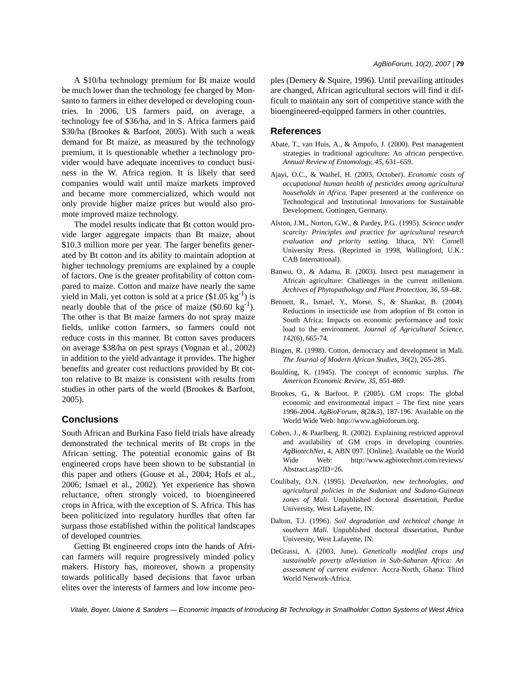A \$10/ha technology premium for Bt maize would be much lower than the technology fee charged by Monsanto to farmers in either developed or developing countries. In 2006, US farmers paid, on average, a technology fee of \$36/ha, and in S. Africa farmers paid \$30/ha (Brookes & Barfoot, 2005). With such a weak demand for Bt maize, as measured by the technology premium, it is questionable whether a technology provider would have adequate incentives to conduct business in the W. Africa region. It is likely that seed companies would wait until maize markets improved and became more commercialized, which would not only provide higher maize prices but would also promote improved maize technology.

The model results indicate that Bt cotton would provide larger aggregate impacts than Bt maize, about \$10.3 million more per year. The larger benefits generated by Bt cotton and its ability to maintain adoption at higher technology premiums are explained by a couple of factors. One is the greater profitability of cotton compared to maize. Cotton and maize have nearly the same yield in Mali, yet cotton is sold at a price  $(\$1.05 \text{ kg}^{-1})$  is nearly double that of the price of maize  $(\$0.60 \text{ kg}^{-1})$ . The other is that Bt maize farmers do not spray maize fields, unlike cotton farmers, so farmers could not reduce costs in this manner. Bt cotton saves producers on average \$38/ha on pest sprays (Vognan et al., 2002) in addition to the yield advantage it provides. The higher benefits and greater cost reductions provided by Bt cotton relative to Bt maize is consistent with results from studies in other parts of the world (Brookes & Barfoot, 2005).

## **Conclusions**

South African and Burkina Faso field trials have already demonstrated the technical merits of Bt crops in the African setting. The potential economic gains of Bt engineered crops have been shown to be substantial in this paper and others (Gouse et al., 2004; Hofs et al., 2006; Ismael et al., 2002). Yet experience has shown reluctance, often strongly voiced, to bioengineered crops in Africa, with the exception of S. Africa. This has been politicized into regulatory hurdles that often far surpass those established within the political landscapes of developed countries.

Getting Bt engineered crops into the hands of African farmers will require progressively minded policy makers. History has, moreover, shown a propensity towards politically based decisions that favor urban elites over the interests of farmers and low income peoples (Demery & Squire, 1996). Until prevailing attitudes are changed, African agricultural sectors will find it difficult to maintain any sort of competitive stance with the bioengineered-equipped farmers in other countries.

### **References**

- Abate, T., van Huis, A., & Ampofo, J. (2000). Pest management strategies in traditional agriculture: An african perspective. *Annual Review of Entomology*, *45*, 631–659.
- Ajayi, O.C., & Waibel, H. (2003, October). *Economic costs of occupational human health of pesticides among agricultural households in Africa*. Paper presented at the conference on Technological and Institutional Innovations for Sustainable Development, Gottingen, Germany.
- Alston, J.M., Norton, G.W., & Pardey, P.G.. (1995). *Science under scarcity: Principles and practice for agricultural research evaluation and priority setting.* Ithaca, NY: Cornell University Press. (Reprinted in 1998, Wallingford, U.K.: CAB International).
- Banwo, O., & Adamu, R. (2003). Insect pest management in African agriculture: Challenges in the current millenium. *Archives of Phytopathology and Plant Protection*, *36*, 59–68.
- Bennett, R., Ismael, Y., Morse, S., & Shankar, B. (2004). Reductions in insecticide use from adoption of Bt cotton in South Africa: Impacts on economic performance and toxic load to the environment. *Journal of Agricultural Science*, *142*(6), 665-74.
- Bingen, R. (1998). Cotton, democracy and development in Mali. *The Journal of Modern African Studies*, *36*(2), 265-285.
- Boulding, K. (1945). The concept of economic surplus. *The American Economic Review*, *35*, 851-869.
- Brookes, G., & Barfoot, P. (2005). GM crops: The global economic and environmental impact – The first nine years 1996-2004. *AgBioForum*, *8*(2&3), 187-196. Available on the World Wide Web: http://www.agbioforum.org.
- Cohen, J., & Paarlberg, R. (2002). Explaining restricted approval and availability of GM crops in developing countries. *AgBiotechNet*, 4, ABN 097. [Online]. Available on the World Wide Web: http://www.agbiotechnet.com/reviews/ Abstract.asp?ID=26.
- Coulibaly, O.N. (1995). *Devaluation, new technologies, and agricultural policies in the Sudanian and Sudano-Guinean zones of Mali*. Unpublished doctoral dissertation, Purdue University, West Lafayette, IN.
- Dalton, T.J. (1996). *Soil degradation and technical change in southern Mali*. Unpublished doctoral dissertation, Purdue University, West Lafayette, IN.
- DeGrassi, A. (2003, June). *Genetically modified crops and sustainable poverty alleviation in Sub-Saharan Africa: An assessment of current evidence*. Accra-North, Ghana: Third World Network-Africa.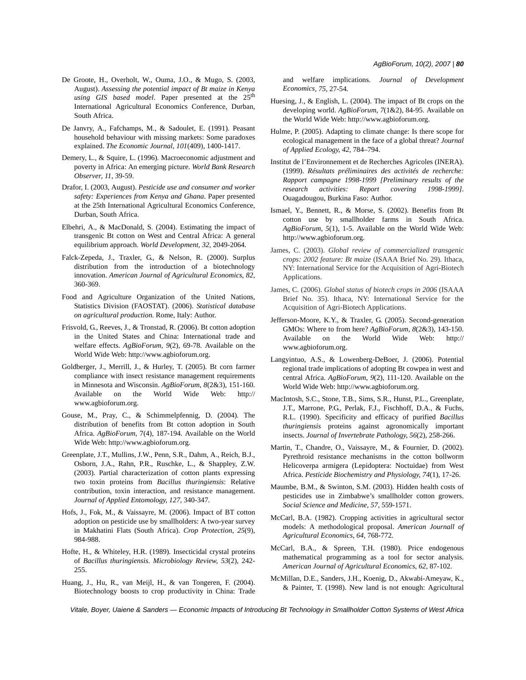- De Groote, H., Overholt, W., Ouma, J.O., & Mugo, S. (2003, August). *Assessing the potential impact of Bt maize in Kenya* using GIS based model. Paper presented at the 25<sup>th</sup> International Agricultural Economics Conference, Durban, South Africa.
- De Janvry, A., Fafchamps, M., & Sadoulet, E. (1991). Peasant household behaviour with missing markets: Some paradoxes explained. *The Economic Journal*, *101*(409), 1400-1417.
- Demery, L., & Squire, L. (1996). Macroeconomic adjustment and poverty in Africa: An emerging picture. *World Bank Research Observer*, *11*, 39-59.
- Drafor, I. (2003, August). *Pesticide use and consumer and worker safety: Experiences from Kenya and Ghana*. Paper presented at the 25th International Agricultural Economics Conference, Durban, South Africa.
- Elbehri, A., & MacDonald, S. (2004). Estimating the impact of transgenic Bt cotton on West and Central Africa: A general equilibrium approach. *World Development*, *32*, 2049-2064.
- Falck-Zepeda, J., Traxler, G., & Nelson, R. (2000). Surplus distribution from the introduction of a biotechnology innovation. *American Journal of Agricultural Economics*, *82*, 360-369.
- Food and Agriculture Organization of the United Nations, Statistics Division (FAOSTAT). (2006). *Statistical database on agricultural production*. Rome, Italy: Author.
- Frisvold, G., Reeves, J., & Tronstad, R. (2006). Bt cotton adoption in the United States and China: International trade and welfare effects. *AgBioForum*, *9*(2), 69-78. Available on the World Wide Web: http://www.agbioforum.org.
- Goldberger, J., Merrill, J., & Hurley, T. (2005). Bt corn farmer compliance with insect resistance management requirements in Minnesota and Wisconsin. *AgBioForum*, *8*(2&3), 151-160. Available on the World Wide Web: http:// www.agbioforum.org.
- Gouse, M., Pray, C., & Schimmelpfennig, D. (2004). The distribution of benefits from Bt cotton adoption in South Africa. *AgBioForum*, 7(4), 187-194. Available on the World Wide Web: http://www.agbioforum.org.
- Greenplate, J.T., Mullins, J.W., Penn, S.R., Dahm, A., Reich, B.J., Osborn, J.A., Rahn, P.R., Ruschke, L., & Shappley, Z.W. (2003). Partial characterization of cotton plants expressing two toxin proteins from *Bacillus thuringiensis*: Relative contribution, toxin interaction, and resistance management. *Journal of Applied Entomology*, *127*, 340-347.
- Hofs, J., Fok, M., & Vaissayre, M. (2006). Impact of BT cotton adoption on pesticide use by smallholders: A two-year survey in Makhatini Flats (South Africa). *Crop Protection*, *25*(9), 984-988.
- Hofte, H., & Whiteley, H.R. (1989). Insecticidal crystal proteins of *Bacillus thuringiensis*. *Microbiology Review*, *53*(2), 242- 255.
- Huang, J., Hu, R., van Meijl, H., & van Tongeren, F. (2004). Biotechnology boosts to crop productivity in China: Trade

and welfare implications. *Journal of Development Economics*, *75*, 27-54.

- Huesing, J., & English, L. (2004). The impact of Bt crops on the developing world. *AgBioForum*, *7*(1&2), 84-95. Available on the World Wide Web: http://www.agbioforum.org.
- Hulme, P. (2005). Adapting to climate change: Is there scope for ecological management in the face of a global threat? *Journal of Applied Ecology*, *42*, 784–794.
- Institut de l'Environnement et de Recherches Agricoles (INERA). (1999). *Résultats préliminaires des activités de recherche: Rapport campagne 1998-1999 [Preliminary results of the research activities: Report covering 1998-1999]*. Ouagadougou, Burkina Faso: Author.
- Ismael, Y., Bennett, R., & Morse, S. (2002). Benefits from Bt cotton use by smallholder farms in South Africa. *AgBioForum*, *5*(1), 1-5. Available on the World Wide Web: http://www.agbioforum.org.
- James, C. (2003). *Global review of commercialized transgenic crops: 2002 feature: Bt maize* (ISAAA Brief No. 29). Ithaca, NY: International Service for the Acquisition of Agri-Biotech Applications.
- James, C. (2006). *Global status of biotech crops in 2006* (ISAAA Brief No. 35). Ithaca, NY: International Service for the Acquisition of Agri-Biotech Applications.
- Jefferson-Moore, K.Y., & Traxler, G. (2005). Second-generation GMOs: Where to from here? *AgBioForum*, *8*(2&3), 143-150. Available on the World Wide Web: http:// www.agbioforum.org.
- Langyintuo, A.S., & Lowenberg-DeBoer, J. (2006). Potential regional trade implications of adopting Bt cowpea in west and central Africa. *AgBioForum*, *9*(2), 111-120. Available on the World Wide Web: http://www.agbioforum.org.
- MacIntosh, S.C., Stone, T.B., Sims, S.R., Hunst, P.L., Greenplate, J.T., Marrone, P.G., Perlak, F.J., Fischhoff, D.A., & Fuchs, R.L. (1990). Specificity and efficacy of purified *Bacillus thuringiensis* proteins against agronomically important insects. *Journal of Invertebrate Pathology*, *56*(2), 258-266.
- Martin, T., Chandre, O., Vaissayre, M., & Fournier, D. (2002). Pyrethroid resistance mechanisms in the cotton bollworm Helicoverpa armigera (Lepidoptera: Noctuidae) from West Africa. *Pesticide Biochemistry and Physiology*, *74*(1), 17-26.
- Maumbe, B.M., & Swinton, S.M. (2003). Hidden health costs of pesticides use in Zimbabwe's smallholder cotton growers. *Social Science and Medicine*, *57*, 559-1571.
- McCarl, B.A. (1982). Cropping activities in agricultural sector models: A methodological proposal. *American Journall of Agricultural Economics*, *64*, 768-772.
- McCarl, B.A., & Spreen, T.H. (1980). Price endogenous mathematical programming as a tool for sector analysis. *American Journal of Agricultural Economics*, *62*, 87-102.
- McMillan, D.E., Sanders, J.H., Koenig, D., Akwabi-Ameyaw, K., & Painter, T. (1998). New land is not enough: Agricultural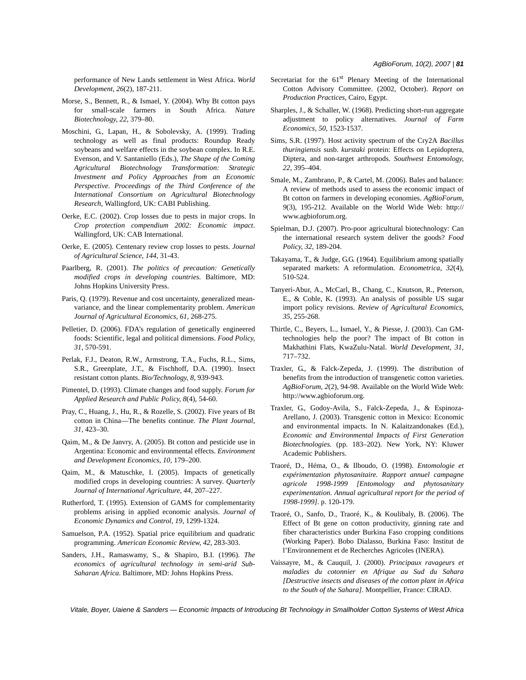performance of New Lands settlement in West Africa. *World Development*, *26*(2), 187-211.

- Morse, S., Bennett, R., & Ismael, Y. (2004). Why Bt cotton pays for small-scale farmers in South Africa. *Nature Biotechnology*, *22*, 379–80.
- Moschini, G., Lapan, H., & Sobolevsky, A. (1999). Trading technology as well as final products: Roundup Ready soybeans and welfare effects in the soybean complex. In R.E. Evenson, and V. Santaniello (Eds.), *The Shape of the Coming Agricultural Biotechnology Transformation: Strategic Investment and Policy Approaches from an Economic Perspective*. *Proceedings of the Third Conference of the International Consortium on Agricultural Biotechnology Research*, Wallingford, UK: CABI Publishing.
- Oerke, E.C. (2002). Crop losses due to pests in major crops. In *Crop protection compendium 2002: Economic impact*. Wallingford, UK: CAB International.
- Oerke, E. (2005). Centenary review crop losses to pests. *Journal of Agricultural Science*, *144*, 31-43.
- Paarlberg, R. (2001). *The politics of precaution: Genetically modified crops in developing countries*. Baltimore, MD: Johns Hopkins University Press.
- Paris, Q. (1979). Revenue and cost uncertainty, generalized meanvariance, and the linear complementarity problem. *American Journal of Agricultural Economics*, *61*, 268-275.
- Pelletier, D. (2006). FDA's regulation of genetically engineered foods: Scientific, legal and political dimensions. *Food Policy*, *31*, 570-591.
- Perlak, F.J., Deaton, R.W., Armstrong, T.A., Fuchs, R.L., Sims, S.R., Greenplate, J.T., & Fischhoff, D.A. (1990). Insect resistant cotton plants. *Bio/Technology*, *8*, 939-943.
- Pimentel, D. (1993). Climate changes and food supply. *Forum for Applied Research and Public Policy*, *8*(4), 54-60.
- Pray, C., Huang, J., Hu, R., & Rozelle, S. (2002). Five years of Bt cotton in China—The benefits continue. *The Plant Journal*, *31*, 423–30.
- Qaim, M., & De Janvry, A. (2005). Bt cotton and pesticide use in Argentina: Economic and environmental effects. *Environment and Development Economics*, *10*, 179–200.
- Qaim, M., & Matuschke, I. (2005). Impacts of genetically modified crops in developing countries: A survey. *Quarterly Journal of International Agriculture*, *44*, 207–227.
- Rutherford, T. (1995). Extension of GAMS for complementarity problems arising in applied economic analysis. *Journal of Economic Dynamics and Control*, *19*, 1299-1324.
- Samuelson, P.A. (1952). Spatial price equilibrium and quadratic programming. *American Economic Review*, *42*, 283-303.
- Sanders, J.H., Ramaswamy, S., & Shapiro, B.I. (1996). *The economics of agricultural technology in semi-arid Sub-Saharan Africa*. Baltimore, MD: Johns Hopkins Press.
- Secretariat for the 61<sup>st</sup> Plenary Meeting of the International Cotton Advisory Committee. (2002, October). *Report on Production Practices*, Cairo, Egypt.
- Sharples, J., & Schaller, W. (1968). Predicting short-run aggregate adjustment to policy alternatives. *Journal of Farm Economics*, *50*, 1523-1537.
- Sims, S.R. (1997). Host activity spectrum of the Cry2A *Bacillus thuringiensis* susb. *kurstaki* protein: Effects on Lepidoptera, Diptera, and non-target arthropods. *Southwest Entomology*, *22*, 395–404.
- Smale, M., Zambrano, P., & Cartel, M. (2006). Bales and balance: A review of methods used to assess the economic impact of Bt cotton on farmers in developing economies. *AgBioForum*, *9*(3), 195-212. Available on the World Wide Web: http:// www.agbioforum.org.
- Spielman, D.J. (2007). Pro-poor agricultural biotechnology: Can the international research system deliver the goods? *Food Policy*, *32*, 189-204.
- Takayama, T., & Judge, G.G. (1964). Equilibrium among spatially separated markets: A reformulation. *Econometrica*, *32*(4), 510-524.
- Tanyeri-Abur, A., McCarl, B., Chang, C., Knutson, R., Peterson, E., & Coble, K. (1993). An analysis of possible US sugar import policy revisions. *Review of Agricultural Economics*, *35*, 255-268.
- Thirtle, C., Beyers, L., Ismael, Y., & Piesse, J. (2003). Can GMtechnologies help the poor? The impact of Bt cotton in Makhathini Flats, KwaZulu-Natal. *World Development*, *31*, 717–732.
- Traxler, G., & Falck-Zepeda, J. (1999). The distribution of benefits from the introduction of transgenetic cotton varieties. *AgBioForum*, *2*(2), 94-98. Available on the World Wide Web: http://www.agbioforum.org.
- Traxler, G., Godoy-Avila, S., Falck-Zepeda, J., & Espinoza-Arellano, J. (2003). Transgenic cotton in Mexico: Economic and environmental impacts. In N. Kalaitzandonakes (Ed.), *Economic and Environmental Impacts of First Generation Biotechnologies.* (pp. 183–202). New York, NY: Kluwer Academic Publishers.
- Traoré, D., Héma, O., & Ilboudo, O. (1998). *Entomologie et expérimentation phytosanitaire. Rapport annuel campagne agricole 1998-1999 [Entomology and phytosanitary experimentation. Annual agricultural report for the period of 1998-1999]*. p. 120-179.
- Traoré, O., Sanfo, D., Traoré, K., & Koulibaly, B. (2006). The Effect of Bt gene on cotton productivity, ginning rate and fiber characteristics under Burkina Faso cropping conditions (Working Paper). Bobo Dialasso, Burkina Faso: Institut de l'Environnement et de Recherches Agricoles (INERA).
- Vaissayre, M., & Cauquil, J. (2000). *Principaux ravageurs et maladies du cotonnier en Afrique au Sud du Sahara [Destructive insects and diseases of the cotton plant in Africa to the South of the Sahara]*. Montpellier, France: CIRAD.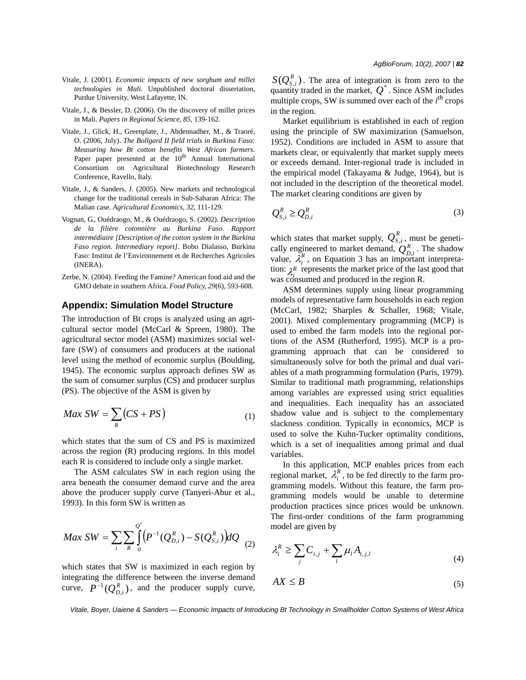- Vitale, J. (2001). *Economic impacts of new sorghum and millet technologies in Mali*. Unpublished doctoral dissertation, Purdue University, West Lafayette, IN.
- Vitale, J., & Bessler, D. (2006). On the discovery of millet prices in Mali. *Papers in Regional Science*, *85*, 139-162.
- Vitale, J., Glick, H., Greenplate, J., Abdennadher, M., & Traoré, O. (2006, July). *The Bollgard II field trials in Burkina Faso: Measuring how Bt cotton benefits West African farmers.* Paper paper presented at the  $10<sup>th</sup>$  Annual International Consortium on Agricultural Biotechnology Research Conference, Ravello, Italy.
- Vitale, J., & Sanders, J. (2005). New markets and technological change for the traditional cereals in Sub-Saharan Africa: The Malian case. *Agricultural Economics*, *32*, 111-129.
- Vognan, G., Ouédraogo, M., & Ouédraogo, S. (2002). *Description de la filière cotonnière au Burkina Faso. Rapport intermédiaire [Description of the cotton system in the Burkina Faso region. Intermediary report]*. Bobo Dialasso, Burkina Faso: Institut de l'Environnement et de Recherches Agricoles (INERA).
- Zerbe, N. (2004). Feeding the Famine? American food aid and the GMO debate in southern Africa. *Food Policy*, *29*(6), 593-608.

#### **Appendix: Simulation Model Structure**

The introduction of Bt crops is analyzed using an agricultural sector model (McCarl & Spreen, 1980). The agricultural sector model (ASM) maximizes social welfare (SW) of consumers and producers at the national level using the method of economic surplus (Boulding, 1945). The economic surplus approach defines SW as the sum of consumer surplus (CS) and producer surplus (PS). The objective of the ASM is given by

$$
MaxSW = \sum_{R} (CS + PS)
$$
 (1)

which states that the sum of CS and PS is maximized across the region (R) producing regions. In this model each R is considered to include only a single market.

The ASM calculates SW in each region using the area beneath the consumer demand curve and the area above the producer supply curve (Tanyeri-Abur et al., 1993). In this form SW is written as

$$
MaxSW = \sum_{i} \sum_{R} \int_{0}^{Q^*} (P^{-1}(Q_{D,i}^R) - S(Q_{S,i}^R)) dQ
$$
 (2)

which states that SW is maximized in each region by integrating the difference between the inverse demand curve,  $P^{-1}(Q_{D,i}^R)$ , and the producer supply curve,

. The area of integration is from zero to the quantity traded in the market,  $Q^*$ . Since ASM includes multiple crops, SW is summed over each of the  $i^{th}$  crops in the region.  $S(Q_{S,i}^R)$ . The area of integration quantity traded in the market,  $Q^*$ 

Market equilibrium is established in each of region using the principle of SW maximization (Samuelson, 1952). Conditions are included in ASM to assure that markets clear, or equivalently that market supply meets or exceeds demand. Inter-regional trade is included in the empirical model (Takayama & Judge, 1964), but is not included in the description of the theoretical model. The market clearing conditions are given by

$$
Q_{S,i}^R \ge Q_{D,i}^R \tag{3}
$$

which states that market supply,  $Q_{S,i}^n$ , must be genetically engineered to market demand,  $O_n^R$ . The shadow value,  $\lambda_i^k$ , on Equation 3 has an important interpretation:  $\lambda^R$  represents the market price of the last good that was consumed and produced in the region R.  $\mathcal{Q}_{S,i}^{\mathit{R}}$ igneered to market demand,  $Q_{D,i}^R$ , on Equation 3 has an import

ASM determines supply using linear programming models of representative farm households in each region (McCarl, 1982; Sharples & Schaller, 1968; Vitale, 2001). Mixed complementary programming (MCP) is used to embed the farm models into the regional portions of the ASM (Rutherford, 1995). MCP is a programming approach that can be considered to simultaneously solve for both the primal and dual variables of a math programming formulation (Paris, 1979). Similar to traditional math programming, relationships among variables are expressed using strict equalities and inequalities. Each inequality has an associated shadow value and is subject to the complementary slackness condition. Typically in economics, MCP is used to solve the Kuhn-Tucker optimality conditions, which is a set of inequalities among primal and dual variables.

In this application, MCP enables prices from each regional market,  $\lambda_i^k$ , to be fed directly to the farm programming models. Without this feature, the farm programming models would be unable to determine production practices since prices would be unknown. The first-order conditions of the farm programming model are given by  $\lambda_i^R$ 

$$
\lambda_i^R \ge \sum_j C_{i,j} + \sum_l \mu_l A_{i,j,l} \tag{4}
$$

$$
AX \leq B \tag{5}
$$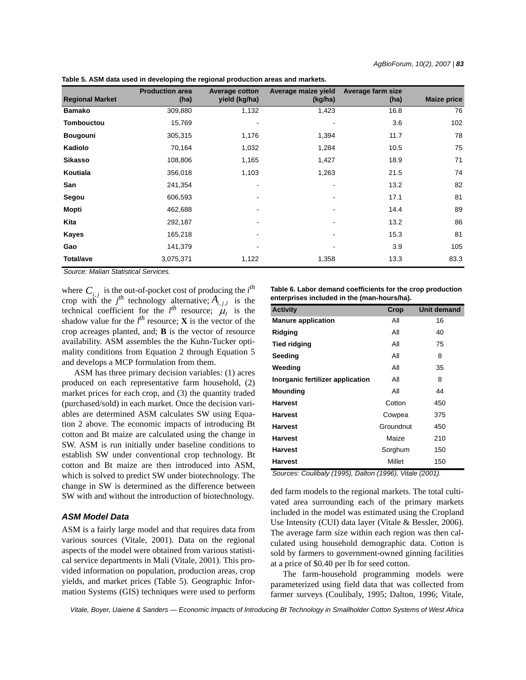| <b>Regional Market</b> | <b>Production area</b><br>(ha) | <b>Average cotton</b><br>yield (kg/ha) | Average maize yield<br>(kg/ha) | Average farm size<br>(ha) | <b>Maize price</b> |
|------------------------|--------------------------------|----------------------------------------|--------------------------------|---------------------------|--------------------|
| <b>Bamako</b>          | 309,880                        | 1,132                                  | 1,423                          | 16.8                      | 76                 |
| Tombouctou             | 15,769                         |                                        |                                | 3.6                       | 102                |
| <b>Bougouni</b>        | 305,315                        | 1,176                                  | 1,394                          | 11.7                      | 78                 |
| Kadiolo                | 70,164                         | 1,032                                  | 1,284                          | 10.5                      | 75                 |
| <b>Sikasso</b>         | 108,806                        | 1,165                                  | 1,427                          | 18.9                      | 71                 |
| Koutiala               | 356,018                        | 1,103                                  | 1,263                          | 21.5                      | 74                 |
| San                    | 241,354                        | $\overline{\phantom{a}}$               |                                | 13.2                      | 82                 |
| Segou                  | 606,593                        | ۰                                      | $\overline{\phantom{a}}$       | 17.1                      | 81                 |
| Mopti                  | 462,688                        | ٠                                      | $\overline{\phantom{a}}$       | 14.4                      | 89                 |
| Kita                   | 292,187                        | $\qquad \qquad \blacksquare$           |                                | 13.2                      | 86                 |
| Kayes                  | 165,218                        | ۰                                      | $\overline{\phantom{a}}$       | 15.3                      | 81                 |
| Gao                    | 141,379                        | ۰                                      |                                | 3.9                       | 105                |
| <b>Total/ave</b>       | 3,075,371                      | 1,122                                  | 1,358                          | 13.3                      | 83.3               |

**Table 5. ASM data used in developing the regional production areas and markets.**

*Source: Malian Statistical Services.*

where  $C_i$ , is the out-of-pocket cost of producing the *i*<sup>th</sup> crop with the  $j^{th}$  technology alternative;  $A_{i,i,l}$  is the technical coefficient for the  $l^{th}$  resource;  $\mu_l$  is the shadow value for the  $l^{th}$  resource; **X** is the vector of the crop acreages planted, and; **B** is the vector of resource availability. ASM assembles the the Kuhn-Tucker optimality conditions from Equation 2 through Equation 5 and develops a MCP formulation from them.  $C_{i,j}$  $A_{i,j,l}$  $\mu_{_l}$ 

ASM has three primary decision variables: (1) acres produced on each representative farm household, (2) market prices for each crop, and (3) the quantity traded (purchased/sold) in each market. Once the decision variables are determined ASM calculates SW using Equation 2 above. The economic impacts of introducing Bt cotton and Bt maize are calculated using the change in SW. ASM is run initially under baseline conditions to establish SW under conventional crop technology. Bt cotton and Bt maize are then introduced into ASM, which is solved to predict SW under biotechnology. The change in SW is determined as the difference between SW with and without the introduction of biotechnology.

## *ASM Model Data*

ASM is a fairly large model and that requires data from various sources (Vitale, 2001). Data on the regional aspects of the model were obtained from various statistical service departments in Mali (Vitale, 2001). This provided information on population, production areas, crop yields, and market prices (Table 5). Geographic Information Systems (GIS) techniques were used to perform **Table 6. Labor demand coefficients for the crop production enterprises included in the (man-hours/ha).**

| <b>Activity</b>                                                                                              | Crop                                                                                                                                                                                                                                                                                                                                                                                                                                                                  | Unit demand                               |
|--------------------------------------------------------------------------------------------------------------|-----------------------------------------------------------------------------------------------------------------------------------------------------------------------------------------------------------------------------------------------------------------------------------------------------------------------------------------------------------------------------------------------------------------------------------------------------------------------|-------------------------------------------|
| <b>Manure application</b>                                                                                    | All                                                                                                                                                                                                                                                                                                                                                                                                                                                                   | 16                                        |
| Ridging                                                                                                      | All                                                                                                                                                                                                                                                                                                                                                                                                                                                                   | 40                                        |
| <b>Tied ridging</b>                                                                                          | All                                                                                                                                                                                                                                                                                                                                                                                                                                                                   | 75                                        |
| Seeding                                                                                                      | All                                                                                                                                                                                                                                                                                                                                                                                                                                                                   | 8                                         |
| Weeding                                                                                                      | All                                                                                                                                                                                                                                                                                                                                                                                                                                                                   | 35                                        |
| Inorganic fertilizer application                                                                             | All                                                                                                                                                                                                                                                                                                                                                                                                                                                                   | 8                                         |
| Mounding                                                                                                     | All                                                                                                                                                                                                                                                                                                                                                                                                                                                                   | 44                                        |
| <b>Harvest</b>                                                                                               | Cotton                                                                                                                                                                                                                                                                                                                                                                                                                                                                | 450                                       |
| <b>Harvest</b>                                                                                               | Cowpea                                                                                                                                                                                                                                                                                                                                                                                                                                                                | 375                                       |
| <b>Harvest</b>                                                                                               | Groundnut                                                                                                                                                                                                                                                                                                                                                                                                                                                             | 450                                       |
| <b>Harvest</b>                                                                                               | Maize                                                                                                                                                                                                                                                                                                                                                                                                                                                                 | 210                                       |
| <b>Harvest</b>                                                                                               | Sorghum                                                                                                                                                                                                                                                                                                                                                                                                                                                               | 150                                       |
| <b>Harvest</b><br>$\mathbf{u}$ $\mathbf{u}$ $\mathbf{u}$ $\mathbf{u}$ $\mathbf{u}$ $\mathbf{u}$ $\mathbf{u}$ | Millet<br>$\lambda$ , $\lambda$ , $\lambda$ , $\lambda$ , $\lambda$ , $\lambda$ , $\lambda$ , $\lambda$ , $\lambda$ , $\lambda$ , $\lambda$ , $\lambda$ , $\lambda$ , $\lambda$ , $\lambda$ , $\lambda$ , $\lambda$ , $\lambda$ , $\lambda$ , $\lambda$ , $\lambda$ , $\lambda$ , $\lambda$ , $\lambda$ , $\lambda$ , $\lambda$ , $\lambda$ , $\lambda$ , $\lambda$ , $\lambda$ , $\lambda$ , $\lambda$ , $\lambda$ , $\lambda$ , $\lambda$ , $\lambda$ , $\lambda$ , | 150<br>$\sim$ $\sim$ $\sim$ $\sim$ $\sim$ |

*Sources: Coulibaly (1995), Dalton (1996), Vitale (2001).*

ded farm models to the regional markets. The total cultivated area surrounding each of the primary markets included in the model was estimated using the Cropland Use Intensity (CUI) data layer (Vitale & Bessler, 2006). The average farm size within each region was then calculated using household demographic data. Cotton is sold by farmers to government-owned ginning facilities at a price of \$0.40 per lb for seed cotton.

The farm-household programming models were parameterized using field data that was collected from farmer surveys (Coulibaly, 1995; Dalton, 1996; Vitale,